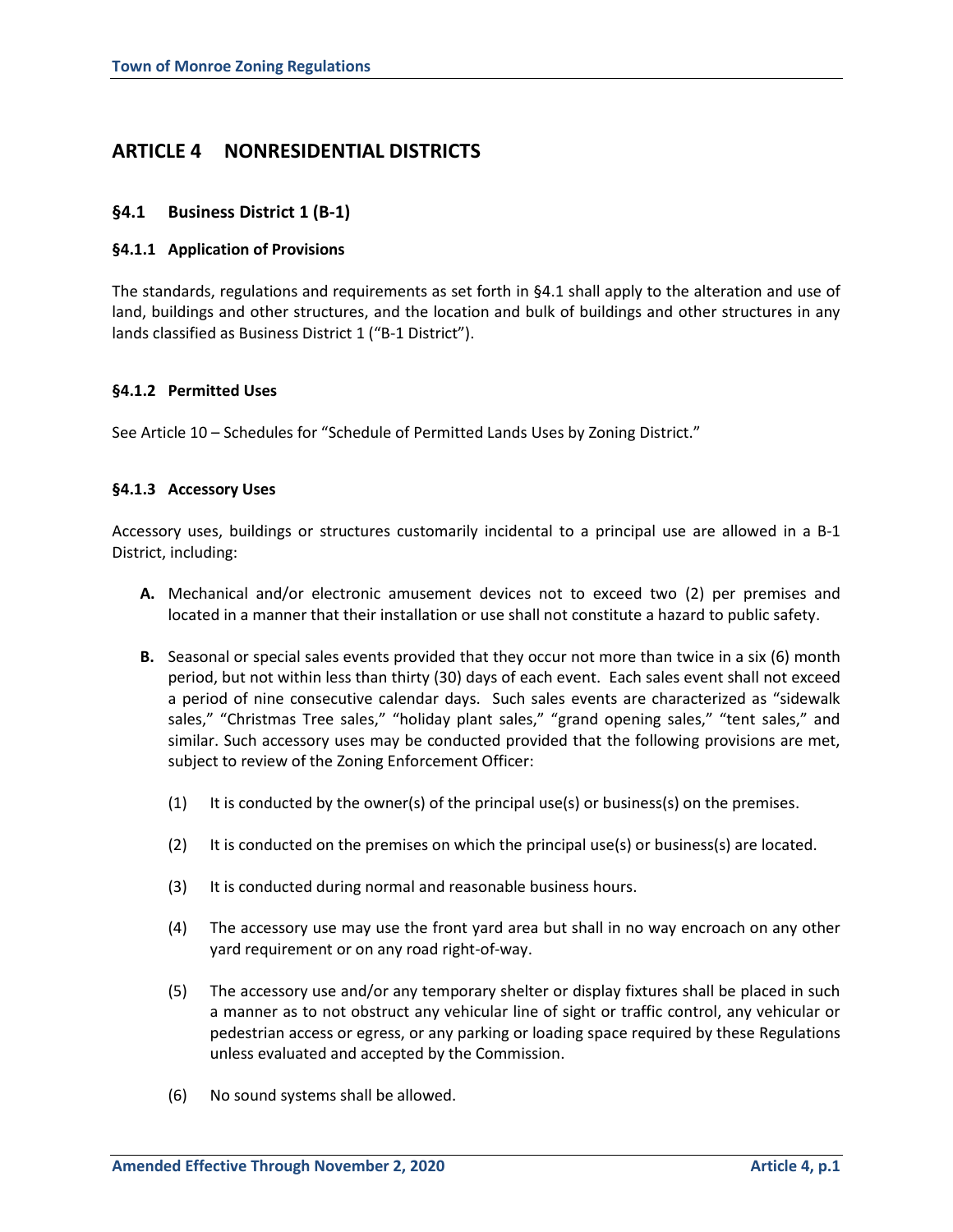# **ARTICLE 4 NONRESIDENTIAL DISTRICTS**

# **§4.1 Business District 1 (B-1)**

# **§4.1.1 Application of Provisions**

The standards, regulations and requirements as set forth in §4.1 shall apply to the alteration and use of land, buildings and other structures, and the location and bulk of buildings and other structures in any lands classified as Business District 1 ("B-1 District").

# **§4.1.2 Permitted Uses**

See Article 10 – Schedules for "Schedule of Permitted Lands Uses by Zoning District."

# **§4.1.3 Accessory Uses**

Accessory uses, buildings or structures customarily incidental to a principal use are allowed in a B-1 District, including:

- **A.** Mechanical and/or electronic amusement devices not to exceed two (2) per premises and located in a manner that their installation or use shall not constitute a hazard to public safety.
- **B.** Seasonal or special sales events provided that they occur not more than twice in a six (6) month period, but not within less than thirty (30) days of each event. Each sales event shall not exceed a period of nine consecutive calendar days. Such sales events are characterized as "sidewalk sales," "Christmas Tree sales," "holiday plant sales," "grand opening sales," "tent sales," and similar. Such accessory uses may be conducted provided that the following provisions are met, subject to review of the Zoning Enforcement Officer:
	- (1) It is conducted by the owner(s) of the principal use(s) or business(s) on the premises.
	- $(2)$  It is conducted on the premises on which the principal use(s) or business(s) are located.
	- (3) It is conducted during normal and reasonable business hours.
	- (4) The accessory use may use the front yard area but shall in no way encroach on any other yard requirement or on any road right-of-way.
	- (5) The accessory use and/or any temporary shelter or display fixtures shall be placed in such a manner as to not obstruct any vehicular line of sight or traffic control, any vehicular or pedestrian access or egress, or any parking or loading space required by these Regulations unless evaluated and accepted by the Commission.
	- (6) No sound systems shall be allowed.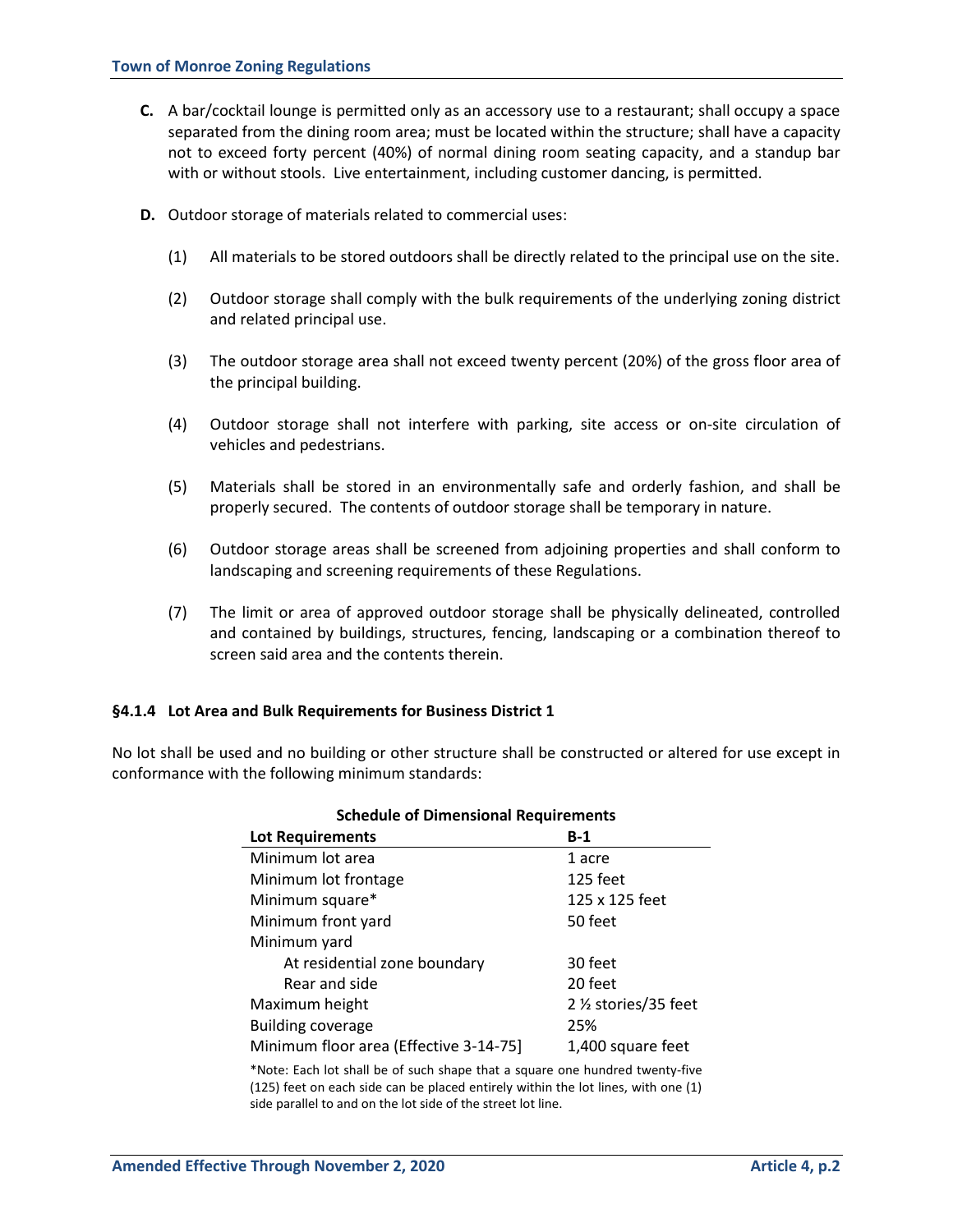- **C.** A bar/cocktail lounge is permitted only as an accessory use to a restaurant; shall occupy a space separated from the dining room area; must be located within the structure; shall have a capacity not to exceed forty percent (40%) of normal dining room seating capacity, and a standup bar with or without stools. Live entertainment, including customer dancing, is permitted.
- **D.** Outdoor storage of materials related to commercial uses:
	- (1) All materials to be stored outdoors shall be directly related to the principal use on the site.
	- (2) Outdoor storage shall comply with the bulk requirements of the underlying zoning district and related principal use.
	- (3) The outdoor storage area shall not exceed twenty percent (20%) of the gross floor area of the principal building.
	- (4) Outdoor storage shall not interfere with parking, site access or on-site circulation of vehicles and pedestrians.
	- (5) Materials shall be stored in an environmentally safe and orderly fashion, and shall be properly secured. The contents of outdoor storage shall be temporary in nature.
	- (6) Outdoor storage areas shall be screened from adjoining properties and shall conform to landscaping and screening requirements of these Regulations.
	- (7) The limit or area of approved outdoor storage shall be physically delineated, controlled and contained by buildings, structures, fencing, landscaping or a combination thereof to screen said area and the contents therein.

#### **§4.1.4 Lot Area and Bulk Requirements for Business District 1**

No lot shall be used and no building or other structure shall be constructed or altered for use except in conformance with the following minimum standards:

| scricuare or Dimensional Requirements  |                       |  |  |  |
|----------------------------------------|-----------------------|--|--|--|
| <b>Lot Requirements</b>                | $B-1$                 |  |  |  |
| Minimum lot area                       | 1 acre                |  |  |  |
| Minimum lot frontage                   | 125 feet              |  |  |  |
| Minimum square*                        | 125 x 125 feet        |  |  |  |
| Minimum front yard                     | 50 feet               |  |  |  |
| Minimum yard                           |                       |  |  |  |
| At residential zone boundary           | 30 feet               |  |  |  |
| Rear and side                          | 20 feet               |  |  |  |
| Maximum height                         | 2 1/2 stories/35 feet |  |  |  |
| <b>Building coverage</b>               | 25%                   |  |  |  |
| Minimum floor area (Effective 3-14-75) | 1,400 square feet     |  |  |  |

# **Schedule of Dimensional Requirements**

\*Note: Each lot shall be of such shape that a square one hundred twenty-five (125) feet on each side can be placed entirely within the lot lines, with one (1) side parallel to and on the lot side of the street lot line.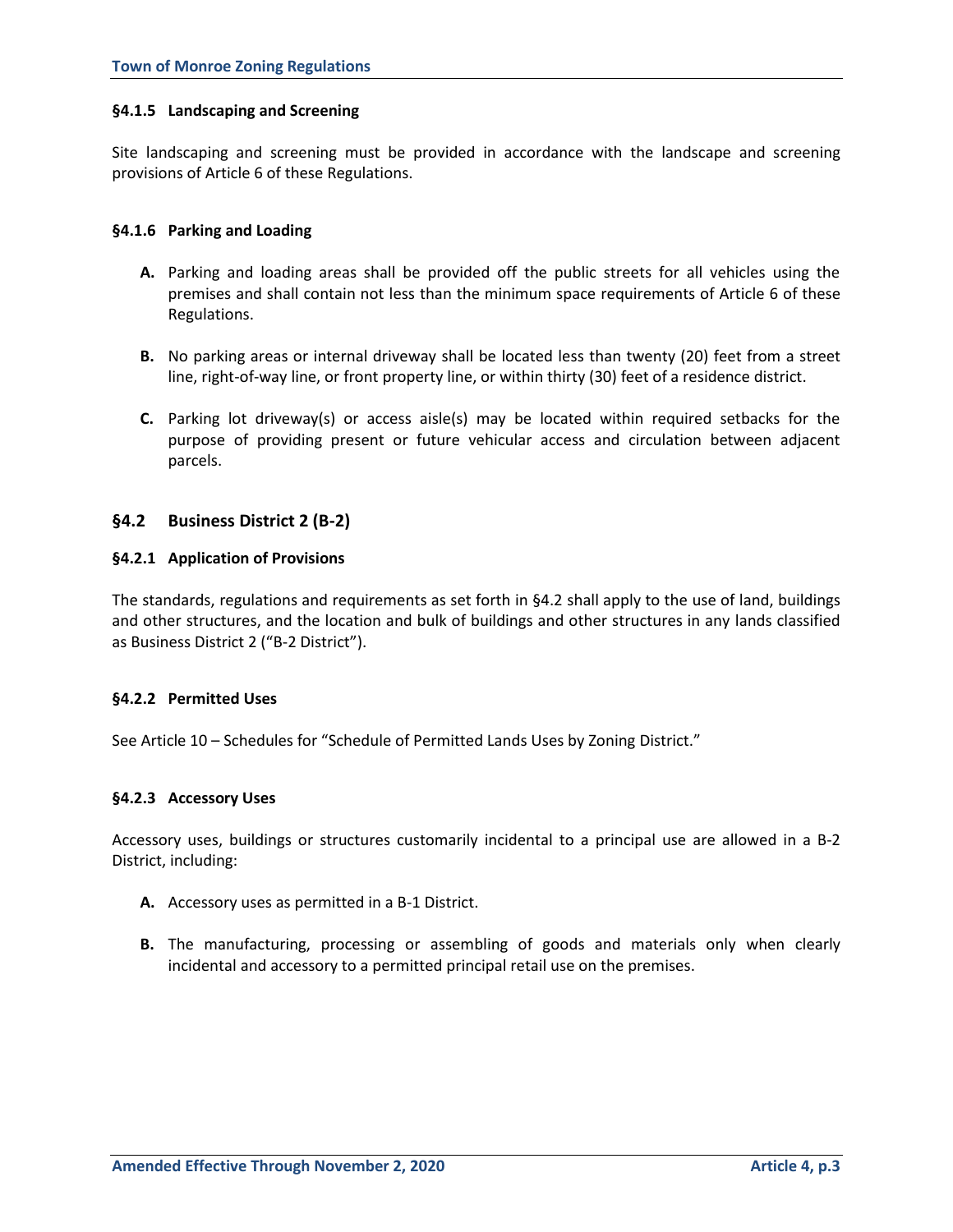# **§4.1.5 Landscaping and Screening**

Site landscaping and screening must be provided in accordance with the landscape and screening provisions of Article 6 of these Regulations.

### **§4.1.6 Parking and Loading**

- **A.** Parking and loading areas shall be provided off the public streets for all vehicles using the premises and shall contain not less than the minimum space requirements of Article 6 of these Regulations.
- **B.** No parking areas or internal driveway shall be located less than twenty (20) feet from a street line, right-of-way line, or front property line, or within thirty (30) feet of a residence district.
- **C.** Parking lot driveway(s) or access aisle(s) may be located within required setbacks for the purpose of providing present or future vehicular access and circulation between adjacent parcels.

# **§4.2 Business District 2 (B-2)**

# **§4.2.1 Application of Provisions**

The standards, regulations and requirements as set forth in §4.2 shall apply to the use of land, buildings and other structures, and the location and bulk of buildings and other structures in any lands classified as Business District 2 ("B-2 District").

#### **§4.2.2 Permitted Uses**

See Article 10 – Schedules for "Schedule of Permitted Lands Uses by Zoning District."

# **§4.2.3 Accessory Uses**

Accessory uses, buildings or structures customarily incidental to a principal use are allowed in a B-2 District, including:

- **A.** Accessory uses as permitted in a B-1 District.
- **B.** The manufacturing, processing or assembling of goods and materials only when clearly incidental and accessory to a permitted principal retail use on the premises.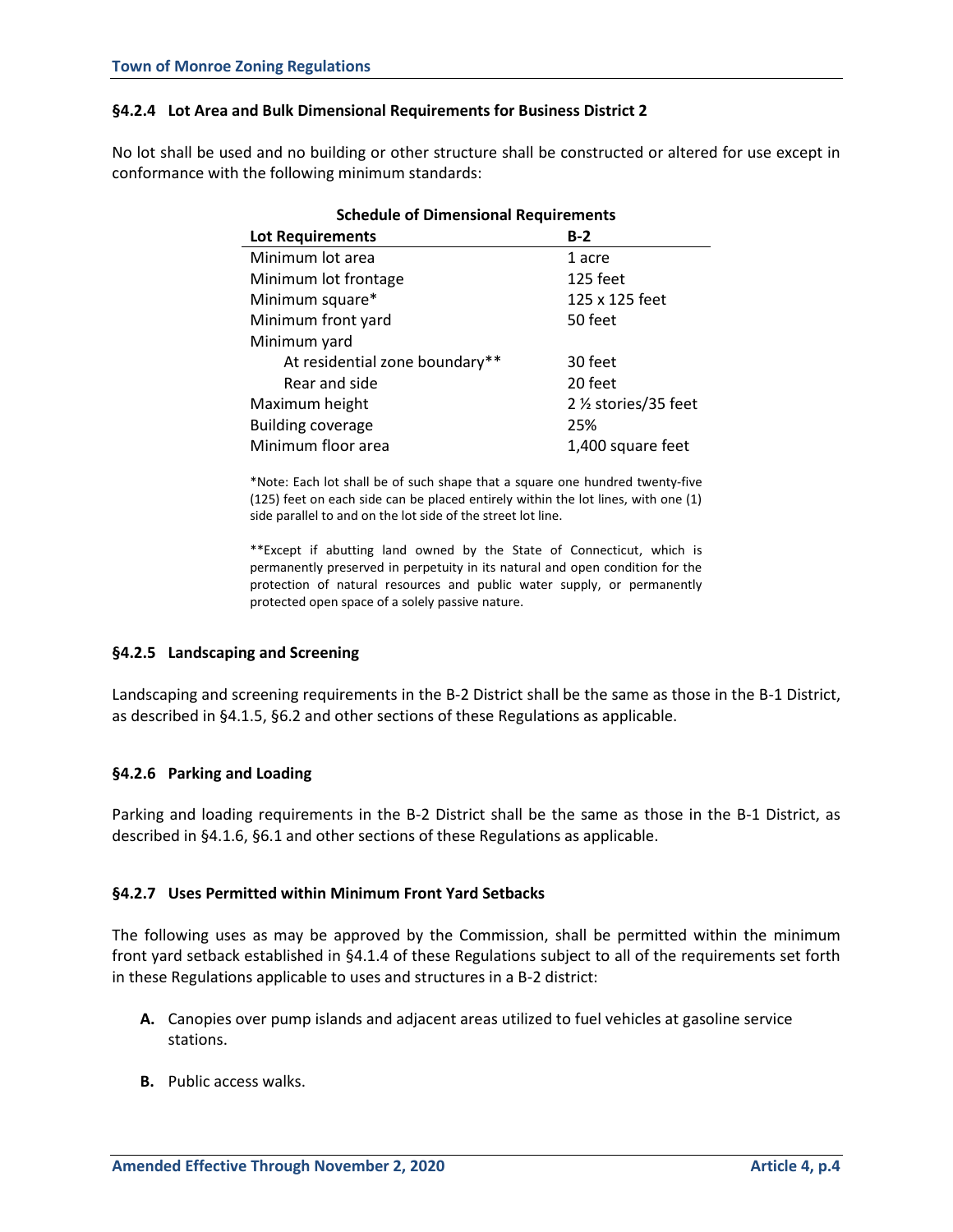# **§4.2.4 Lot Area and Bulk Dimensional Requirements for Business District 2**

No lot shall be used and no building or other structure shall be constructed or altered for use except in conformance with the following minimum standards:

| <b>Schedule of Dimensional Requirements</b> |                       |  |  |  |
|---------------------------------------------|-----------------------|--|--|--|
| <b>Lot Requirements</b>                     | $B-2$                 |  |  |  |
| Minimum lot area                            | 1 acre                |  |  |  |
| Minimum lot frontage                        | 125 feet              |  |  |  |
| Minimum square*                             | 125 x 125 feet        |  |  |  |
| Minimum front yard                          | 50 feet               |  |  |  |
| Minimum yard                                |                       |  |  |  |
| At residential zone boundary**              | 30 feet               |  |  |  |
| Rear and side                               | 20 feet               |  |  |  |
| Maximum height                              | 2 1/2 stories/35 feet |  |  |  |
| <b>Building coverage</b>                    | 25%                   |  |  |  |
| Minimum floor area                          | 1,400 square feet     |  |  |  |

\*Note: Each lot shall be of such shape that a square one hundred twenty-five (125) feet on each side can be placed entirely within the lot lines, with one (1) side parallel to and on the lot side of the street lot line.

\*\*Except if abutting land owned by the State of Connecticut, which is permanently preserved in perpetuity in its natural and open condition for the protection of natural resources and public water supply, or permanently protected open space of a solely passive nature.

# **§4.2.5 Landscaping and Screening**

Landscaping and screening requirements in the B-2 District shall be the same as those in the B-1 District, as described in §4.1.5, §6.2 and other sections of these Regulations as applicable.

#### **§4.2.6 Parking and Loading**

Parking and loading requirements in the B-2 District shall be the same as those in the B-1 District, as described in §4.1.6, §6.1 and other sections of these Regulations as applicable.

#### **§4.2.7 Uses Permitted within Minimum Front Yard Setbacks**

The following uses as may be approved by the Commission, shall be permitted within the minimum front yard setback established in §4.1.4 of these Regulations subject to all of the requirements set forth in these Regulations applicable to uses and structures in a B-2 district:

- **A.** Canopies over pump islands and adjacent areas utilized to fuel vehicles at gasoline service stations.
- **B.** Public access walks.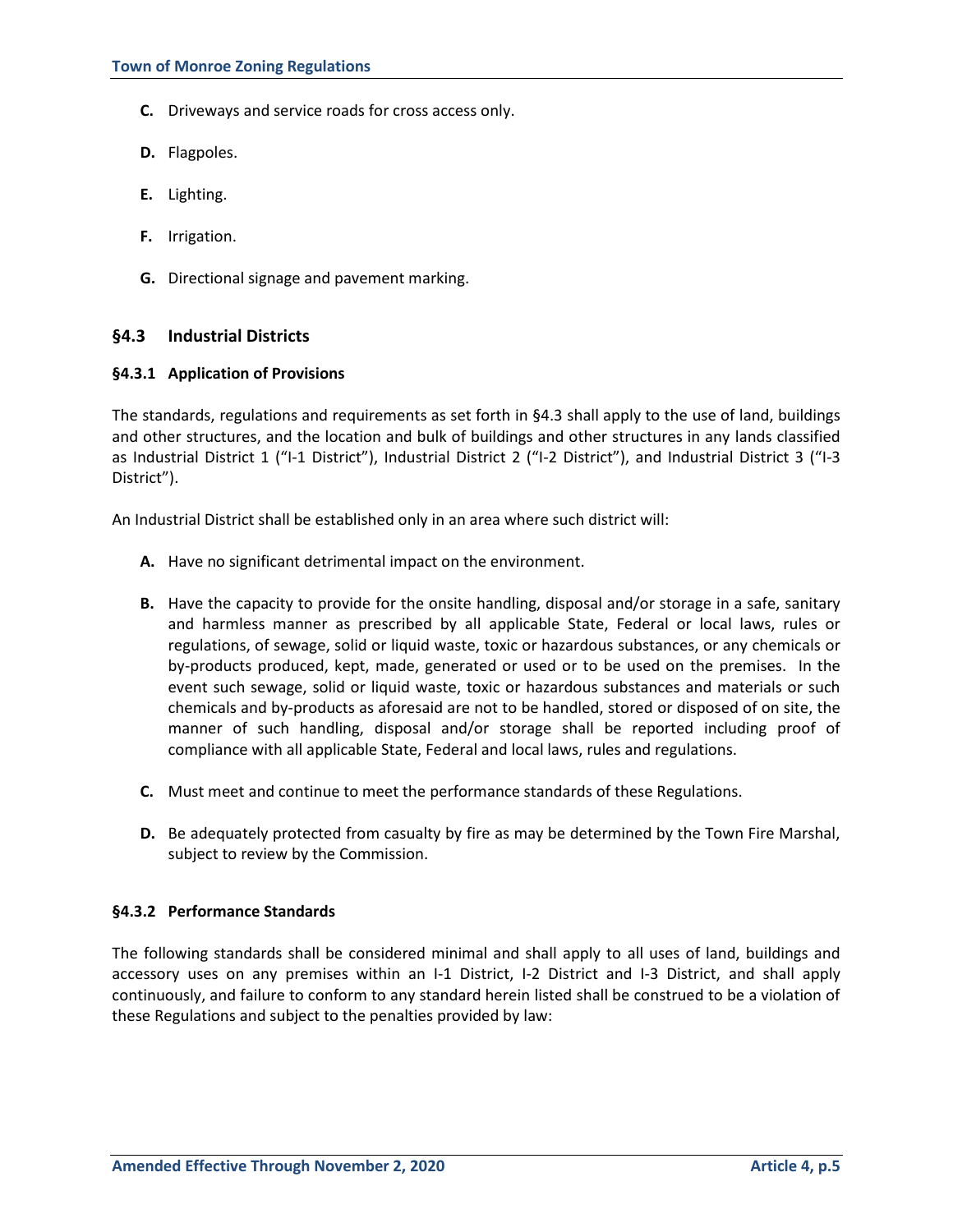- **C.** Driveways and service roads for cross access only.
- **D.** Flagpoles.
- **E.** Lighting.
- **F.** Irrigation.
- **G.** Directional signage and pavement marking.

# **§4.3 Industrial Districts**

#### **§4.3.1 Application of Provisions**

The standards, regulations and requirements as set forth in §4.3 shall apply to the use of land, buildings and other structures, and the location and bulk of buildings and other structures in any lands classified as Industrial District 1 ("I-1 District"), Industrial District 2 ("I-2 District"), and Industrial District 3 ("I-3 District").

An Industrial District shall be established only in an area where such district will:

- **A.** Have no significant detrimental impact on the environment.
- **B.** Have the capacity to provide for the onsite handling, disposal and/or storage in a safe, sanitary and harmless manner as prescribed by all applicable State, Federal or local laws, rules or regulations, of sewage, solid or liquid waste, toxic or hazardous substances, or any chemicals or by-products produced, kept, made, generated or used or to be used on the premises. In the event such sewage, solid or liquid waste, toxic or hazardous substances and materials or such chemicals and by-products as aforesaid are not to be handled, stored or disposed of on site, the manner of such handling, disposal and/or storage shall be reported including proof of compliance with all applicable State, Federal and local laws, rules and regulations.
- **C.** Must meet and continue to meet the performance standards of these Regulations.
- **D.** Be adequately protected from casualty by fire as may be determined by the Town Fire Marshal, subject to review by the Commission.

#### **§4.3.2 Performance Standards**

The following standards shall be considered minimal and shall apply to all uses of land, buildings and accessory uses on any premises within an I-1 District, I-2 District and I-3 District, and shall apply continuously, and failure to conform to any standard herein listed shall be construed to be a violation of these Regulations and subject to the penalties provided by law: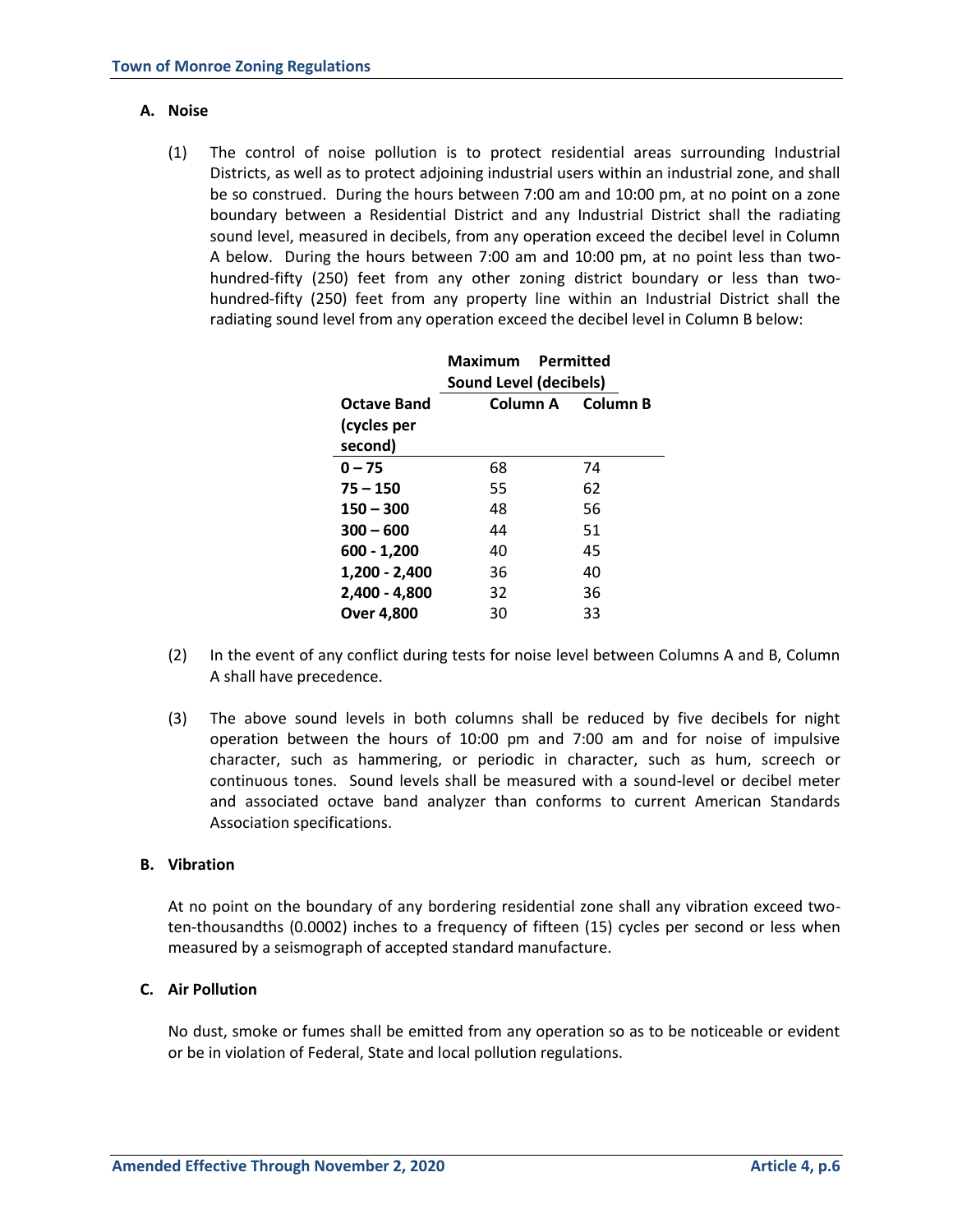# **A. Noise**

(1) The control of noise pollution is to protect residential areas surrounding Industrial Districts, as well as to protect adjoining industrial users within an industrial zone, and shall be so construed. During the hours between 7:00 am and 10:00 pm, at no point on a zone boundary between a Residential District and any Industrial District shall the radiating sound level, measured in decibels, from any operation exceed the decibel level in Column A below. During the hours between 7:00 am and 10:00 pm, at no point less than twohundred-fifty (250) feet from any other zoning district boundary or less than twohundred-fifty (250) feet from any property line within an Industrial District shall the radiating sound level from any operation exceed the decibel level in Column B below:

|                   | <b>Maximum</b> Permitted |                   |  |
|-------------------|--------------------------|-------------------|--|
|                   | Sound Level (decibels)   |                   |  |
| Octave Band       |                          | Column A Column B |  |
| (cycles per       |                          |                   |  |
| second)           |                          |                   |  |
| $0 - 75$          | 68                       | 74                |  |
| $75 - 150$        | 55                       | 62                |  |
| $150 - 300$       | 48                       | 56                |  |
| $300 - 600$       | 44                       | 51                |  |
| $600 - 1,200$     | 40                       | 45                |  |
| 1,200 - 2,400     | 36                       | 40                |  |
| $2,400 - 4,800$   | 32                       | 36                |  |
| <b>Over 4.800</b> | 30                       | 33                |  |
|                   |                          |                   |  |

- (2) In the event of any conflict during tests for noise level between Columns A and B, Column A shall have precedence.
- (3) The above sound levels in both columns shall be reduced by five decibels for night operation between the hours of 10:00 pm and 7:00 am and for noise of impulsive character, such as hammering, or periodic in character, such as hum, screech or continuous tones. Sound levels shall be measured with a sound-level or decibel meter and associated octave band analyzer than conforms to current American Standards Association specifications.

#### **B. Vibration**

At no point on the boundary of any bordering residential zone shall any vibration exceed twoten-thousandths (0.0002) inches to a frequency of fifteen (15) cycles per second or less when measured by a seismograph of accepted standard manufacture.

# **C. Air Pollution**

No dust, smoke or fumes shall be emitted from any operation so as to be noticeable or evident or be in violation of Federal, State and local pollution regulations.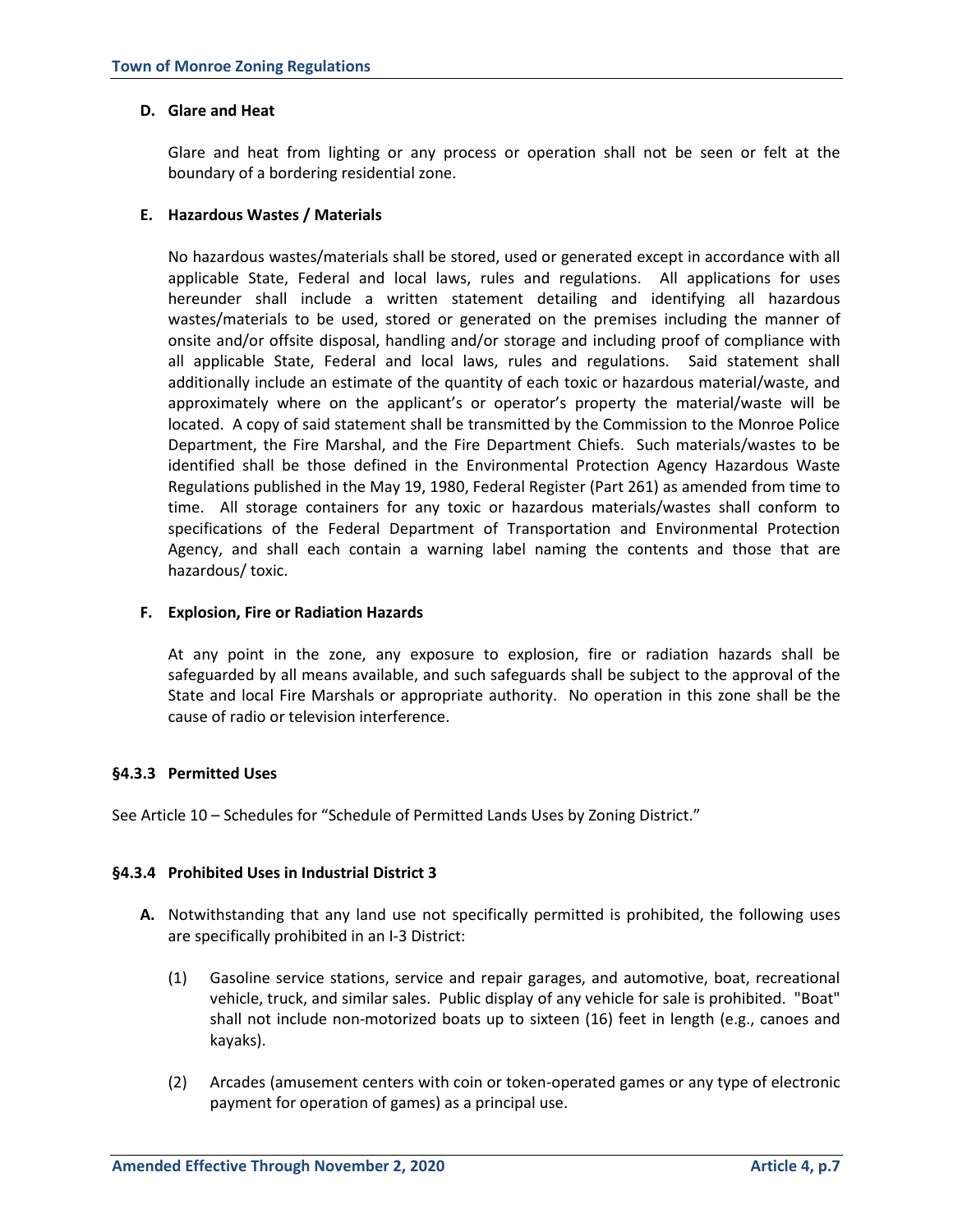### **D. Glare and Heat**

Glare and heat from lighting or any process or operation shall not be seen or felt at the boundary of a bordering residential zone.

# **E. Hazardous Wastes / Materials**

No hazardous wastes/materials shall be stored, used or generated except in accordance with all applicable State, Federal and local laws, rules and regulations. All applications for uses hereunder shall include a written statement detailing and identifying all hazardous wastes/materials to be used, stored or generated on the premises including the manner of onsite and/or offsite disposal, handling and/or storage and including proof of compliance with all applicable State, Federal and local laws, rules and regulations. Said statement shall additionally include an estimate of the quantity of each toxic or hazardous material/waste, and approximately where on the applicant's or operator's property the material/waste will be located. A copy of said statement shall be transmitted by the Commission to the Monroe Police Department, the Fire Marshal, and the Fire Department Chiefs. Such materials/wastes to be identified shall be those defined in the Environmental Protection Agency Hazardous Waste Regulations published in the May 19, 1980, Federal Register (Part 261) as amended from time to time. All storage containers for any toxic or hazardous materials/wastes shall conform to specifications of the Federal Department of Transportation and Environmental Protection Agency, and shall each contain a warning label naming the contents and those that are hazardous/ toxic.

# **F. Explosion, Fire or Radiation Hazards**

At any point in the zone, any exposure to explosion, fire or radiation hazards shall be safeguarded by all means available, and such safeguards shall be subject to the approval of the State and local Fire Marshals or appropriate authority. No operation in this zone shall be the cause of radio or television interference.

# **§4.3.3 Permitted Uses**

See Article 10 – Schedules for "Schedule of Permitted Lands Uses by Zoning District."

# **§4.3.4 Prohibited Uses in Industrial District 3**

- **A.** Notwithstanding that any land use not specifically permitted is prohibited, the following uses are specifically prohibited in an I-3 District:
	- (1) Gasoline service stations, service and repair garages, and automotive, boat, recreational vehicle, truck, and similar sales. Public display of any vehicle for sale is prohibited. "Boat" shall not include non-motorized boats up to sixteen (16) feet in length (e.g., canoes and kayaks).
	- (2) Arcades (amusement centers with coin or token-operated games or any type of electronic payment for operation of games) as a principal use.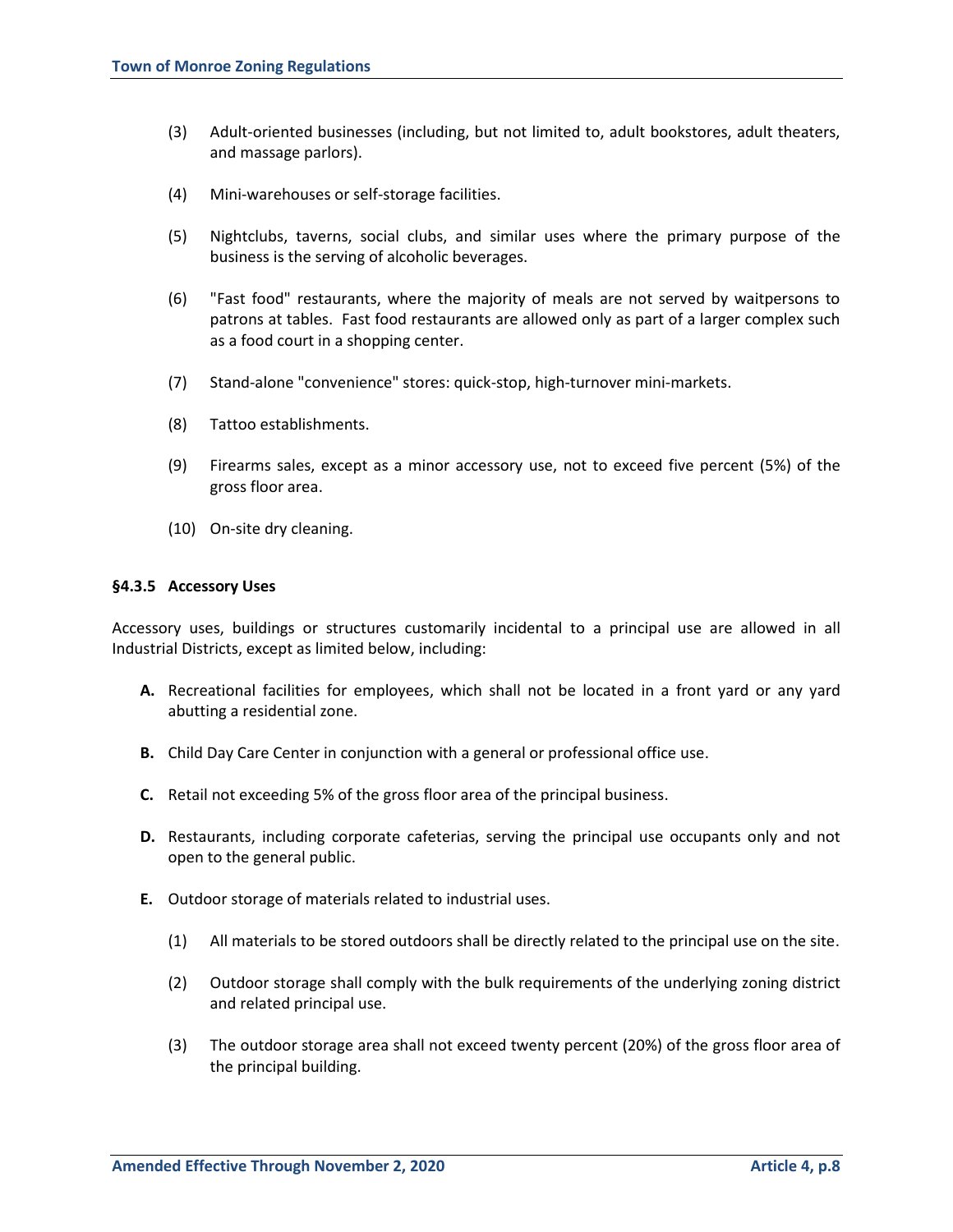- (3) Adult-oriented businesses (including, but not limited to, adult bookstores, adult theaters, and massage parlors).
- (4) Mini-warehouses or self-storage facilities.
- (5) Nightclubs, taverns, social clubs, and similar uses where the primary purpose of the business is the serving of alcoholic beverages.
- (6) "Fast food" restaurants, where the majority of meals are not served by waitpersons to patrons at tables. Fast food restaurants are allowed only as part of a larger complex such as a food court in a shopping center.
- (7) Stand-alone "convenience" stores: quick-stop, high-turnover mini-markets.
- (8) Tattoo establishments.
- (9) Firearms sales, except as a minor accessory use, not to exceed five percent (5%) of the gross floor area.
- (10) On-site dry cleaning.

#### **§4.3.5 Accessory Uses**

Accessory uses, buildings or structures customarily incidental to a principal use are allowed in all Industrial Districts, except as limited below, including:

- **A.** Recreational facilities for employees, which shall not be located in a front yard or any yard abutting a residential zone.
- **B.** Child Day Care Center in conjunction with a general or professional office use.
- **C.** Retail not exceeding 5% of the gross floor area of the principal business.
- **D.** Restaurants, including corporate cafeterias, serving the principal use occupants only and not open to the general public.
- **E.** Outdoor storage of materials related to industrial uses.
	- (1) All materials to be stored outdoors shall be directly related to the principal use on the site.
	- (2) Outdoor storage shall comply with the bulk requirements of the underlying zoning district and related principal use.
	- (3) The outdoor storage area shall not exceed twenty percent (20%) of the gross floor area of the principal building.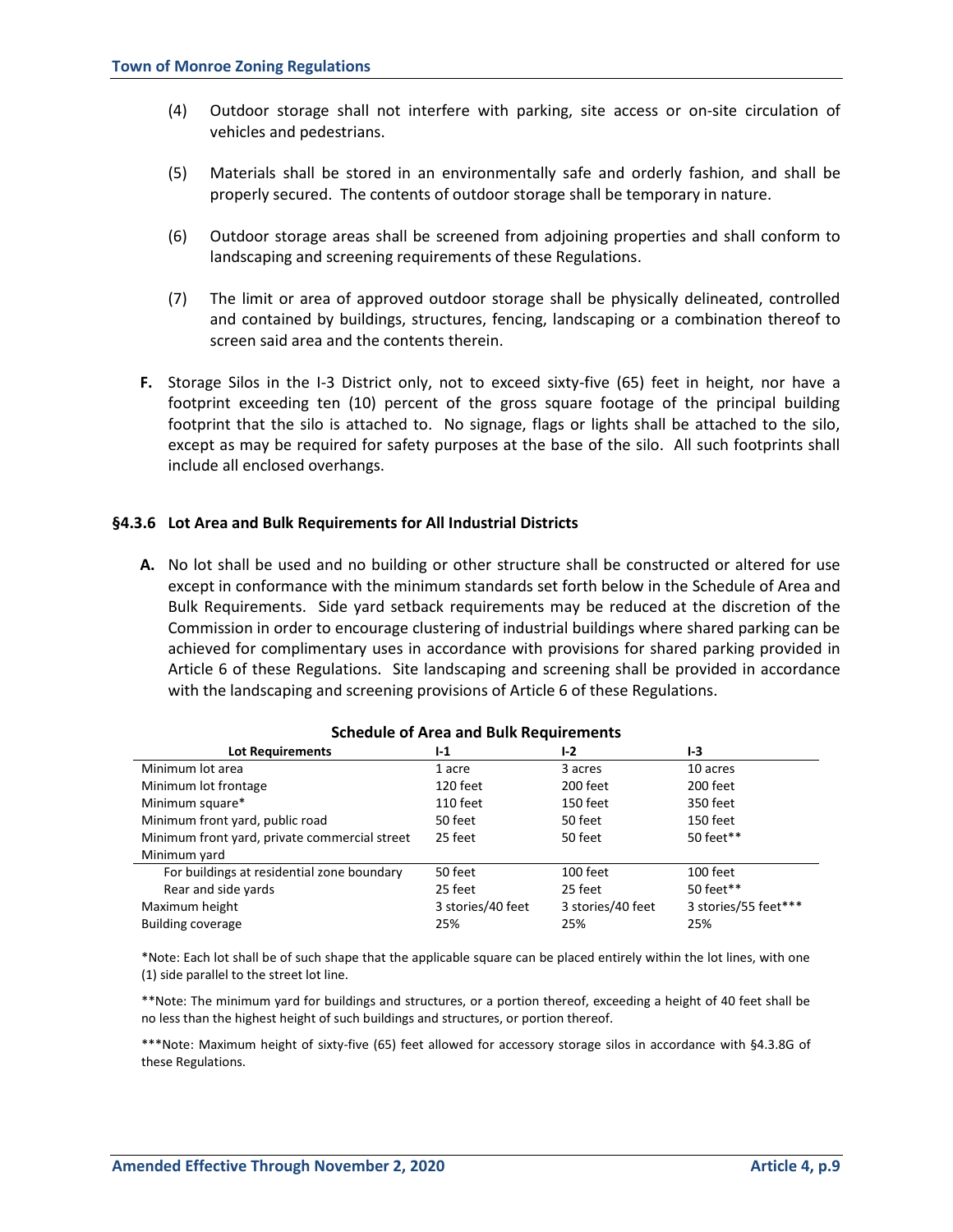- (4) Outdoor storage shall not interfere with parking, site access or on-site circulation of vehicles and pedestrians.
- (5) Materials shall be stored in an environmentally safe and orderly fashion, and shall be properly secured. The contents of outdoor storage shall be temporary in nature.
- (6) Outdoor storage areas shall be screened from adjoining properties and shall conform to landscaping and screening requirements of these Regulations.
- (7) The limit or area of approved outdoor storage shall be physically delineated, controlled and contained by buildings, structures, fencing, landscaping or a combination thereof to screen said area and the contents therein.
- **F.** Storage Silos in the I-3 District only, not to exceed sixty-five (65) feet in height, nor have a footprint exceeding ten (10) percent of the gross square footage of the principal building footprint that the silo is attached to. No signage, flags or lights shall be attached to the silo, except as may be required for safety purposes at the base of the silo. All such footprints shall include all enclosed overhangs.

# **§4.3.6 Lot Area and Bulk Requirements for All Industrial Districts**

**A.** No lot shall be used and no building or other structure shall be constructed or altered for use except in conformance with the minimum standards set forth below in the Schedule of Area and Bulk Requirements. Side yard setback requirements may be reduced at the discretion of the Commission in order to encourage clustering of industrial buildings where shared parking can be achieved for complimentary uses in accordance with provisions for shared parking provided in Article 6 of these Regulations. Site landscaping and screening shall be provided in accordance with the landscaping and screening provisions of Article 6 of these Regulations.

| <b>Lot Requirements</b>                       | $1-1$             | $I-2$             | $1-3$                |
|-----------------------------------------------|-------------------|-------------------|----------------------|
| Minimum lot area                              | 1 acre            | 3 acres           | 10 acres             |
| Minimum lot frontage                          | 120 feet          | 200 feet          | 200 feet             |
| Minimum square*                               | 110 feet          | 150 feet          | 350 feet             |
| Minimum front yard, public road               | 50 feet           | 50 feet           | 150 feet             |
| Minimum front yard, private commercial street | 25 feet           | 50 feet           | 50 feet**            |
| Minimum yard                                  |                   |                   |                      |
| For buildings at residential zone boundary    | 50 feet           | 100 feet          | 100 feet             |
| Rear and side yards                           | 25 feet           | 25 feet           | 50 feet**            |
| Maximum height                                | 3 stories/40 feet | 3 stories/40 feet | 3 stories/55 feet*** |
| <b>Building coverage</b>                      | 25%               | 25%               | 25%                  |

# **Schedule of Area and Bulk Requirements**

\*Note: Each lot shall be of such shape that the applicable square can be placed entirely within the lot lines, with one (1) side parallel to the street lot line.

\*\*Note: The minimum yard for buildings and structures, or a portion thereof, exceeding a height of 40 feet shall be no less than the highest height of such buildings and structures, or portion thereof.

\*\*\*Note: Maximum height of sixty-five (65) feet allowed for accessory storage silos in accordance with §4.3.8G of these Regulations.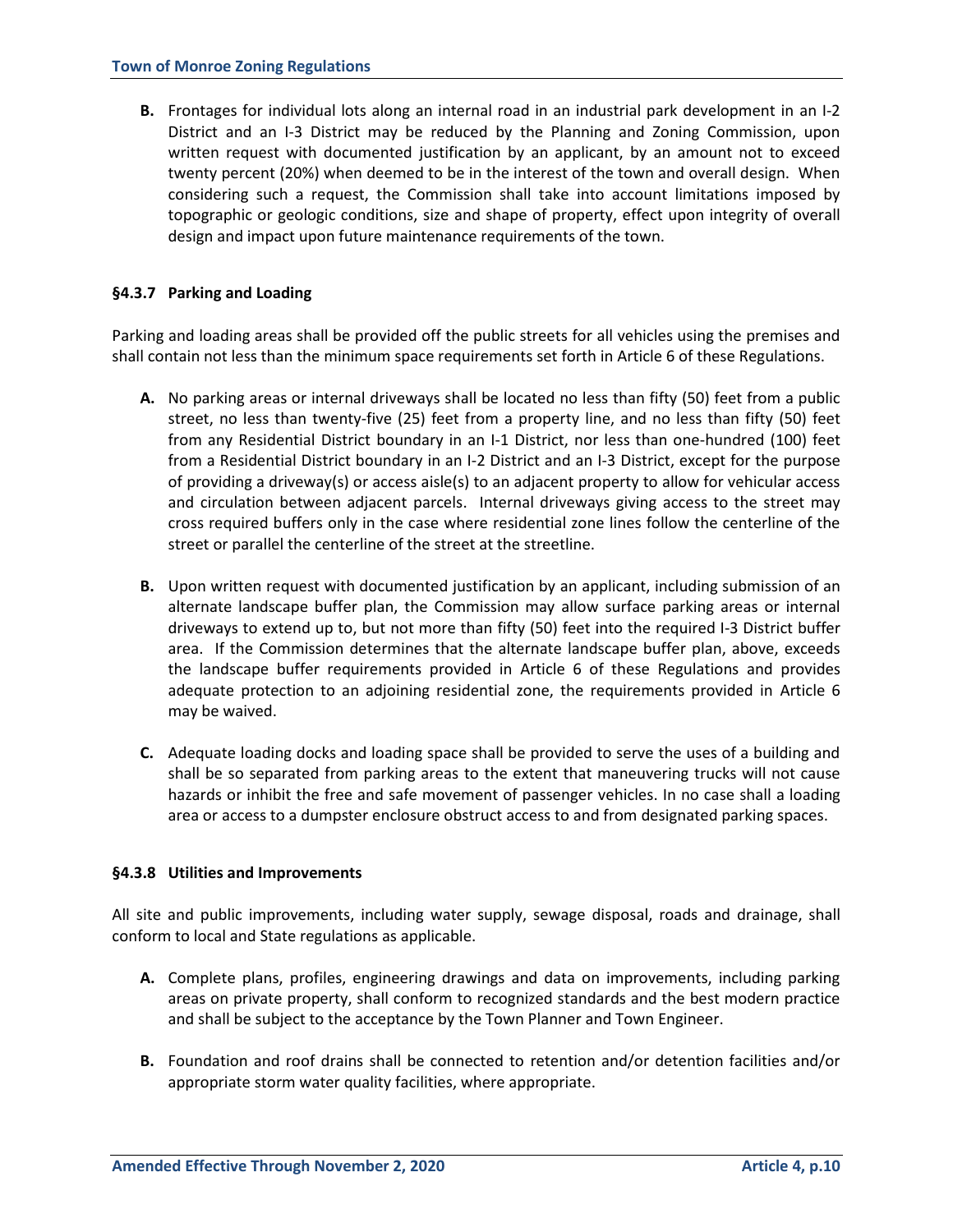**B.** Frontages for individual lots along an internal road in an industrial park development in an I-2 District and an I-3 District may be reduced by the Planning and Zoning Commission, upon written request with documented justification by an applicant, by an amount not to exceed twenty percent (20%) when deemed to be in the interest of the town and overall design. When considering such a request, the Commission shall take into account limitations imposed by topographic or geologic conditions, size and shape of property, effect upon integrity of overall design and impact upon future maintenance requirements of the town.

# **§4.3.7 Parking and Loading**

Parking and loading areas shall be provided off the public streets for all vehicles using the premises and shall contain not less than the minimum space requirements set forth in Article 6 of these Regulations.

- **A.** No parking areas or internal driveways shall be located no less than fifty (50) feet from a public street, no less than twenty-five (25) feet from a property line, and no less than fifty (50) feet from any Residential District boundary in an I-1 District, nor less than one-hundred (100) feet from a Residential District boundary in an I-2 District and an I-3 District, except for the purpose of providing a driveway(s) or access aisle(s) to an adjacent property to allow for vehicular access and circulation between adjacent parcels. Internal driveways giving access to the street may cross required buffers only in the case where residential zone lines follow the centerline of the street or parallel the centerline of the street at the streetline.
- **B.** Upon written request with documented justification by an applicant, including submission of an alternate landscape buffer plan, the Commission may allow surface parking areas or internal driveways to extend up to, but not more than fifty (50) feet into the required I-3 District buffer area. If the Commission determines that the alternate landscape buffer plan, above, exceeds the landscape buffer requirements provided in Article 6 of these Regulations and provides adequate protection to an adjoining residential zone, the requirements provided in Article 6 may be waived.
- **C.** Adequate loading docks and loading space shall be provided to serve the uses of a building and shall be so separated from parking areas to the extent that maneuvering trucks will not cause hazards or inhibit the free and safe movement of passenger vehicles. In no case shall a loading area or access to a dumpster enclosure obstruct access to and from designated parking spaces.

#### **§4.3.8 Utilities and Improvements**

All site and public improvements, including water supply, sewage disposal, roads and drainage, shall conform to local and State regulations as applicable.

- **A.** Complete plans, profiles, engineering drawings and data on improvements, including parking areas on private property, shall conform to recognized standards and the best modern practice and shall be subject to the acceptance by the Town Planner and Town Engineer.
- **B.** Foundation and roof drains shall be connected to retention and/or detention facilities and/or appropriate storm water quality facilities, where appropriate.